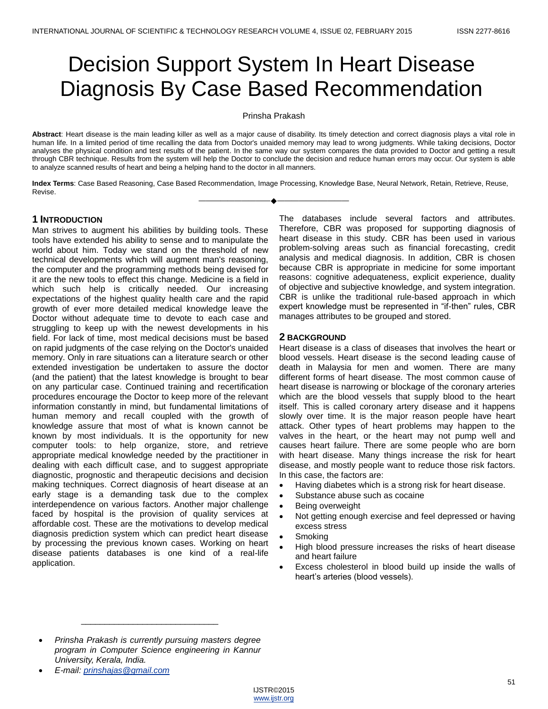# Decision Support System In Heart Disease Diagnosis By Case Based Recommendation

Prinsha Prakash

**Abstract**: Heart disease is the main leading killer as well as a major cause of disability. Its timely detection and correct diagnosis plays a vital role in human life. In a limited period of time recalling the data from Doctor's unaided memory may lead to wrong judgments. While taking decisions, Doctor analyses the physical condition and test results of the patient. In the same way our system compares the data provided to Doctor and getting a result through CBR technique. Results from the system will help the Doctor to conclude the decision and reduce human errors may occur. Our system is able to analyze scanned results of heart and being a helping hand to the doctor in all manners.

**Index Terms**: Case Based Reasoning, Case Based Recommendation, Image Processing, Knowledge Base, Neural Network, Retain, Retrieve, Reuse, Revise. ————————————————————

# **1 INTRODUCTION**

Man strives to augment his abilities by building tools. These tools have extended his ability to sense and to manipulate the world about him. Today we stand on the threshold of new technical developments which will augment man's reasoning, the computer and the programming methods being devised for it are the new tools to effect this change. Medicine is a field in which such help is critically needed. Our increasing expectations of the highest quality health care and the rapid growth of ever more detailed medical knowledge leave the Doctor without adequate time to devote to each case and struggling to keep up with the newest developments in his field. For lack of time, most medical decisions must be based on rapid judgments of the case relying on the Doctor's unaided memory. Only in rare situations can a literature search or other extended investigation be undertaken to assure the doctor (and the patient) that the latest knowledge is brought to bear on any particular case. Continued training and recertification procedures encourage the Doctor to keep more of the relevant information constantly in mind, but fundamental limitations of human memory and recall coupled with the growth of knowledge assure that most of what is known cannot be known by most individuals. It is the opportunity for new computer tools: to help organize, store, and retrieve appropriate medical knowledge needed by the practitioner in dealing with each difficult case, and to suggest appropriate diagnostic, prognostic and therapeutic decisions and decision making techniques. Correct diagnosis of heart disease at an early stage is a demanding task due to the complex interdependence on various factors. Another major challenge faced by hospital is the provision of quality services at affordable cost. These are the motivations to develop medical diagnosis prediction system which can predict heart disease by processing the previous known cases. Working on heart disease patients databases is one kind of a real-life application.

The databases include several factors and attributes. Therefore, CBR was proposed for supporting diagnosis of heart disease in this study. CBR has been used in various problem-solving areas such as financial forecasting, credit analysis and medical diagnosis. In addition, CBR is chosen because CBR is appropriate in medicine for some important reasons: cognitive adequateness, explicit experience, duality of objective and subjective knowledge, and system integration. CBR is unlike the traditional rule-based approach in which expert knowledge must be represented in "if-then" rules, CBR manages attributes to be grouped and stored.

# **2 BACKGROUND**

Heart disease is a class of diseases that involves the heart or blood vessels. Heart disease is the second leading cause of death in Malaysia for men and women. There are many different forms of heart disease. The most common cause of heart disease is narrowing or blockage of the coronary arteries which are the blood vessels that supply blood to the heart itself. This is called coronary artery disease and it happens slowly over time. It is the major reason people have heart attack. Other types of heart problems may happen to the valves in the heart, or the heart may not pump well and causes heart failure. There are some people who are born with heart disease. Many things increase the risk for heart disease, and mostly people want to reduce those risk factors. In this case, the factors are:

- Having diabetes which is a strong risk for heart disease.
- Substance abuse such as cocaine
- Being overweight
- Not getting enough exercise and feel depressed or having excess stress
- **Smoking**
- High blood pressure increases the risks of heart disease and heart failure
- Excess cholesterol in blood build up inside the walls of heart's arteries (blood vessels).

\_\_\_\_\_\_\_\_\_\_\_\_\_\_\_\_\_\_\_\_\_\_\_\_\_\_\_\_\_



*Prinsha Prakash is currently pursuing masters degree program in Computer Science engineering in Kannur University, Kerala, India.* 

*E-mail: [prinshajas@gmail.com](mailto:prinshajas@gmail.com)*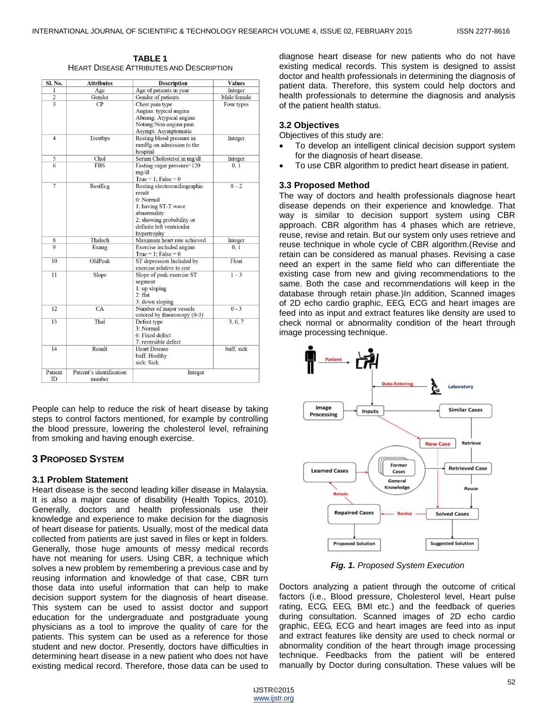| <b>TABLE 1</b>                                  |
|-------------------------------------------------|
| <b>HEART DISEASE ATTRIBUTES AND DESCRIPTION</b> |

| Sl. No.        | <b>Attributes</b>                  | <b>Description</b>                                                                                                                                                 | <b>Values</b> |
|----------------|------------------------------------|--------------------------------------------------------------------------------------------------------------------------------------------------------------------|---------------|
| T              | Age                                | Age of patients in year                                                                                                                                            | Integer       |
| $\mathbf 2$    | Gender                             | Gender of patients                                                                                                                                                 | Male/female   |
|                | CP                                 | Chest pain type<br>Angina: typical angina                                                                                                                          | Four types    |
|                |                                    | Abnang: Atypical angina<br>Notang:Non-angina pain<br>Asympt: Asymptomatic                                                                                          |               |
| $\overline{4}$ | Trestbps                           | Resting blood pressure in<br>mmHg on admission to the<br>hospital                                                                                                  | Integer       |
| 5              | Chol                               | Serum Cholesterol in mg/dl                                                                                                                                         | Integer       |
| 6              | <b>FBS</b>                         | Fasting sugar pressure>120<br>mg/dl<br>True = 1: False = $0$                                                                                                       | 0, 1          |
| $\overline{7}$ | RestEcg                            | Resting electrocardiographic<br>result<br>0: Normal<br>1: having ST-T wave<br>abnormality<br>2: showing probability or<br>definite left ventricular<br>hypertrophy | $0 - 2$       |
| 8              | Thalach                            | Maximum heart rate achieved                                                                                                                                        | Integer       |
| $\mathbf Q$    | Exang                              | Exercise included angina<br>True = 1: False = $0$                                                                                                                  | 0.1           |
| 10             | OldPeak                            | ST depression Included by<br>exercise relative to rest                                                                                                             | Float         |
| 11             | Slope                              | Slope of peak exercise ST<br>segment<br>1: up sloping<br>$2:$ flat<br>3: down sloping                                                                              | $1 - 3$       |
| 12             | CA                                 | Number of major vessels<br>colored by fluoroscopy (0-3)                                                                                                            | $0 - 3$       |
| 13             | Thal                               | Defect type<br>3: Normal<br>6: Fixed defect<br>7: reversible defect                                                                                                | 3, 6, 7       |
| 14             | Result                             | <b>Heart Disease</b><br>buff: Healthy<br>sick: Sick                                                                                                                | buff, sick    |
| Patient<br>ID  | Patient's identification<br>number | Integer                                                                                                                                                            |               |

People can help to reduce the risk of heart disease by taking steps to control factors mentioned, for example by controlling the blood pressure, lowering the cholesterol level, refraining from smoking and having enough exercise.

# **3 PROPOSED SYSTEM**

# **3.1 Problem Statement**

Heart disease is the second leading killer disease in Malaysia. It is also a major cause of disability (Health Topics, 2010). Generally, doctors and health professionals use their knowledge and experience to make decision for the diagnosis of heart disease for patients. Usually, most of the medical data collected from patients are just saved in files or kept in folders. Generally, those huge amounts of messy medical records have not meaning for users. Using CBR, a technique which solves a new problem by remembering a previous case and by reusing information and knowledge of that case, CBR turn those data into useful information that can help to make decision support system for the diagnosis of heart disease. This system can be used to assist doctor and support education for the undergraduate and postgraduate young physicians as a tool to improve the quality of care for the patients. This system can be used as a reference for those student and new doctor. Presently, doctors have difficulties in determining heart disease in a new patient who does not have existing medical record. Therefore, those data can be used to

diagnose heart disease for new patients who do not have existing medical records. This system is designed to assist doctor and health professionals in determining the diagnosis of patient data. Therefore, this system could help doctors and health professionals to determine the diagnosis and analysis of the patient health status.

### **3.2 Objectives**

Objectives of this study are:

- To develop an intelligent clinical decision support system for the diagnosis of heart disease.
- To use CBR algorithm to predict heart disease in patient.

#### **3.3 Proposed Method**

The way of doctors and health professionals diagnose heart disease depends on their experience and knowledge. That way is similar to decision support system using CBR approach. CBR algorithm has 4 phases which are retrieve, reuse, revise and retain. But our system only uses retrieve and reuse technique in whole cycle of CBR algorithm.(Revise and retain can be considered as manual phases. Revising a case need an expert in the same field who can differentiate the existing case from new and giving recommendations to the same. Both the case and recommendations will keep in the database through retain phase*.*)In addition, Scanned images of 2D echo cardio graphic, EEG, ECG and heart images are feed into as input and extract features like density are used to check normal or abnormality condition of the heart through image processing technique.



*Fig. 1. Proposed System Execution*

Doctors analyzing a patient through the outcome of critical factors (i.e., Blood pressure, Cholesterol level, Heart pulse rating, ECG, EEG, BMI etc.) and the feedback of queries during consultation. Scanned images of 2D echo cardio graphic, EEG, ECG and heart images are feed into as input and extract features like density are used to check normal or abnormality condition of the heart through image processing technique. Feedbacks from the patient will be entered manually by Doctor during consultation. These values will be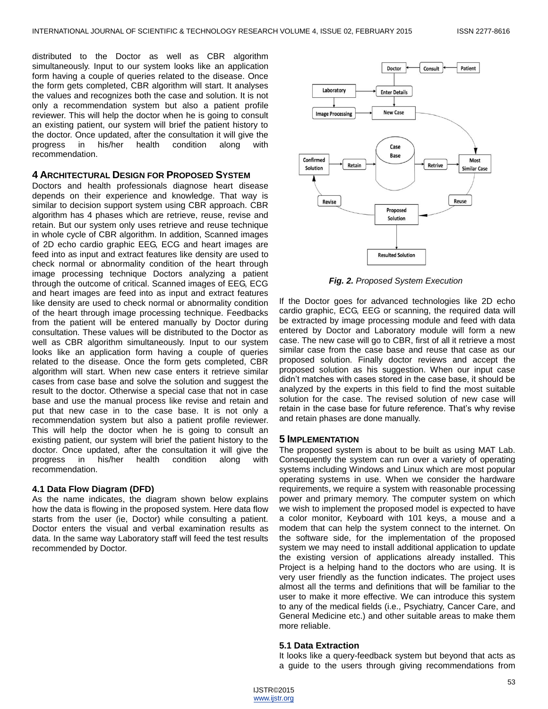distributed to the Doctor as well as CBR algorithm simultaneously. Input to our system looks like an application form having a couple of queries related to the disease. Once the form gets completed, CBR algorithm will start. It analyses the values and recognizes both the case and solution. It is not only a recommendation system but also a patient profile reviewer. This will help the doctor when he is going to consult an existing patient, our system will brief the patient history to the doctor. Once updated, after the consultation it will give the progress in his/her health condition along with recommendation.

#### **4 ARCHITECTURAL DESIGN FOR PROPOSED SYSTEM**

Doctors and health professionals diagnose heart disease depends on their experience and knowledge. That way is similar to decision support system using CBR approach. CBR algorithm has 4 phases which are retrieve, reuse, revise and retain. But our system only uses retrieve and reuse technique in whole cycle of CBR algorithm. In addition, Scanned images of 2D echo cardio graphic EEG, ECG and heart images are feed into as input and extract features like density are used to check normal or abnormality condition of the heart through image processing technique Doctors analyzing a patient through the outcome of critical. Scanned images of EEG, ECG and heart images are feed into as input and extract features like density are used to check normal or abnormality condition of the heart through image processing technique. Feedbacks from the patient will be entered manually by Doctor during consultation. These values will be distributed to the Doctor as well as CBR algorithm simultaneously. Input to our system looks like an application form having a couple of queries related to the disease. Once the form gets completed, CBR algorithm will start. When new case enters it retrieve similar cases from case base and solve the solution and suggest the result to the doctor. Otherwise a special case that not in case base and use the manual process like revise and retain and put that new case in to the case base. It is not only a recommendation system but also a patient profile reviewer. This will help the doctor when he is going to consult an existing patient, our system will brief the patient history to the doctor. Once updated, after the consultation it will give the progress in his/her health condition along with recommendation.

#### **4.1 Data Flow Diagram (DFD)**

As the name indicates, the diagram shown below explains how the data is flowing in the proposed system. Here data flow starts from the user (ie, Doctor) while consulting a patient. Doctor enters the visual and verbal examination results as data. In the same way Laboratory staff will feed the test results recommended by Doctor.



*Fig. 2. Proposed System Execution*

If the Doctor goes for advanced technologies like 2D echo cardio graphic, ECG, EEG or scanning, the required data will be extracted by image processing module and feed with data entered by Doctor and Laboratory module will form a new case. The new case will go to CBR, first of all it retrieve a most similar case from the case base and reuse that case as our proposed solution. Finally doctor reviews and accept the proposed solution as his suggestion. When our input case didn't matches with cases stored in the case base, it should be analyzed by the experts in this field to find the most suitable solution for the case. The revised solution of new case will retain in the case base for future reference. That's why revise and retain phases are done manually.

#### **5 IMPLEMENTATION**

The proposed system is about to be built as using MAT Lab. Consequently the system can run over a variety of operating systems including Windows and Linux which are most popular operating systems in use. When we consider the hardware requirements, we require a system with reasonable processing power and primary memory. The computer system on which we wish to implement the proposed model is expected to have a color monitor, Keyboard with 101 keys, a mouse and a modem that can help the system connect to the internet. On the software side, for the implementation of the proposed system we may need to install additional application to update the existing version of applications already installed. This Project is a helping hand to the doctors who are using. It is very user friendly as the function indicates. The project uses almost all the terms and definitions that will be familiar to the user to make it more effective. We can introduce this system to any of the medical fields (i.e., Psychiatry, Cancer Care, and General Medicine etc.) and other suitable areas to make them more reliable.

#### **5.1 Data Extraction**

It looks like a query-feedback system but beyond that acts as a guide to the users through giving recommendations from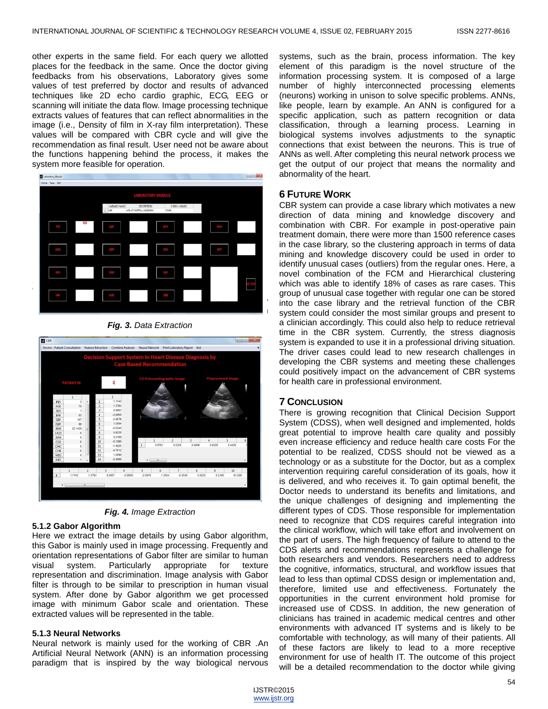other experts in the same field. For each query we allotted places for the feedback in the same. Once the doctor giving feedbacks from his observations, Laboratory gives some values of test preferred by doctor and results of advanced techniques like 2D echo cardio graphic, ECG, EEG or scanning will initiate the data flow. Image processing technique extracts values of features that can reflect abnormalities in the image (i.e., Density of film in X-ray film interpretation). These values will be compared with CBR cycle and will give the recommendation as final result. User need not be aware about the functions happening behind the process, it makes the system more feasible for operation.



*Fig. 3. Data Extraction*





# **5.1.2 Gabor Algorithm**

Here we extract the image details by using Gabor algorithm, this Gabor is mainly used in image processing. Frequently and orientation representations of Gabor filter are similar to human visual system. Particularly appropriate for texture representation and discrimination. Image analysis with Gabor filter is through to be similar to prescription in human visual system. After done by Gabor algorithm we get processed image with minimum Gabor scale and orientation. These extracted values will be represented in the table.

# **5.1.3 Neural Networks**

Neural network is mainly used for the working of CBR .An Artificial Neural Network (ANN) is an information processing paradigm that is inspired by the way biological nervous systems, such as the brain, process information. The key element of this paradigm is the novel structure of the information processing system. It is composed of a large number of highly interconnected processing elements (neurons) working in unison to solve specific problems. ANNs, like people, learn by example. An ANN is configured for a specific application, such as pattern recognition or data classification, through a learning process. Learning in biological systems involves adjustments to the synaptic connections that exist between the neurons. This is true of ANNs as well. After completing this neural network process we get the output of our project that means the normality and abnormality of the heart.

# **6 FUTURE WORK**

CBR system can provide a case library which motivates a new direction of data mining and knowledge discovery and combination with CBR. For example in post-operative pain treatment domain, there were more than 1500 reference cases in the case library, so the clustering approach in terms of data mining and knowledge discovery could be used in order to identify unusual cases (outliers) from the regular ones. Here, a novel combination of the FCM and Hierarchical clustering which was able to identify 18% of cases as rare cases. This group of unusual case together with regular one can be stored into the case library and the retrieval function of the CBR system could consider the most similar groups and present to a clinician accordingly. This could also help to reduce retrieval time in the CBR system. Currently, the stress diagnosis system is expanded to use it in a professional driving situation. The driver cases could lead to new research challenges in developing the CBR systems and meeting these challenges could positively impact on the advancement of CBR systems for health care in professional environment.

# **7 CONCLUSION**

There is growing recognition that Clinical Decision Support System (CDSS), when well designed and implemented, holds great potential to improve health care quality and possibly even increase efficiency and reduce health care costs For the potential to be realized, CDSS should not be viewed as a technology or as a substitute for the Doctor, but as a complex intervention requiring careful consideration of its goals, how it is delivered, and who receives it. To gain optimal benefit, the Doctor needs to understand its benefits and limitations, and the unique challenges of designing and implementing the different types of CDS. Those responsible for implementation need to recognize that CDS requires careful integration into the clinical workflow, which will take effort and involvement on the part of users. The high frequency of failure to attend to the CDS alerts and recommendations represents a challenge for both researchers and vendors. Researchers need to address the cognitive, informatics, structural, and workflow issues that lead to less than optimal CDSS design or implementation and, therefore, limited use and effectiveness. Fortunately the opportunities in the current environment hold promise for increased use of CDSS. In addition, the new generation of clinicians has trained in academic medical centres and other environments with advanced IT systems and is likely to be comfortable with technology, as will many of their patients. All of these factors are likely to lead to a more receptive environment for use of health IT. The outcome of this project will be a detailed recommendation to the doctor while giving